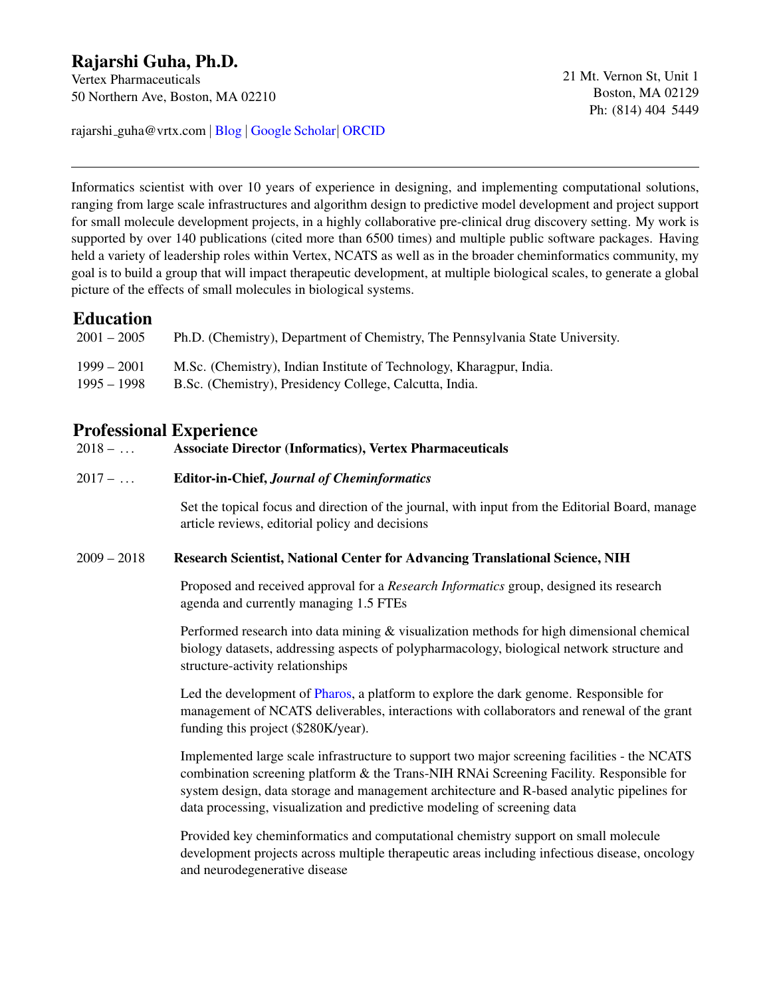# Rajarshi Guha, Ph.D.

Vertex Pharmaceuticals 50 Northern Ave, Boston, MA 02210

rajarshi guha@vrtx.com | [Blog](http://blog.rguha.net) | [Google Scholar](http://scholar.google.com/citations?user=lozCoOkAAAAJ)| [ORCID](http://orcid.org/0000-0001-7403-8819)

Informatics scientist with over 10 years of experience in designing, and implementing computational solutions, ranging from large scale infrastructures and algorithm design to predictive model development and project support for small molecule development projects, in a highly collaborative pre-clinical drug discovery setting. My work is supported by over 140 publications (cited more than 6500 times) and multiple public software packages. Having held a variety of leadership roles within Vertex, NCATS as well as in the broader cheminformatics community, my goal is to build a group that will impact therapeutic development, at multiple biological scales, to generate a global picture of the effects of small molecules in biological systems.

### Education

| $2001 - 2005$ | Ph.D. (Chemistry), Department of Chemistry, The Pennsylvania State University. |
|---------------|--------------------------------------------------------------------------------|
| $1999 - 2001$ | M.Sc. (Chemistry), Indian Institute of Technology, Kharagpur, India.           |
| 1995 – 1998   | B.Sc. (Chemistry), Presidency College, Calcutta, India.                        |

### Professional Experience

#### 2018 – . . . Associate Director (Informatics), Vertex Pharmaceuticals

#### 2017 – . . . Editor-in-Chief, *Journal of Cheminformatics*

Set the topical focus and direction of the journal, with input from the Editorial Board, manage article reviews, editorial policy and decisions

#### 2009 – 2018 Research Scientist, National Center for Advancing Translational Science, NIH

Proposed and received approval for a *Research Informatics* group, designed its research agenda and currently managing 1.5 FTEs

Performed research into data mining & visualization methods for high dimensional chemical biology datasets, addressing aspects of polypharmacology, biological network structure and structure-activity relationships

Led the development of [Pharos,](https://pharos.nih.gov) a platform to explore the dark genome. Responsible for management of NCATS deliverables, interactions with collaborators and renewal of the grant funding this project (\$280K/year).

Implemented large scale infrastructure to support two major screening facilities - the NCATS combination screening platform & the Trans-NIH RNAi Screening Facility. Responsible for system design, data storage and management architecture and R-based analytic pipelines for data processing, visualization and predictive modeling of screening data

Provided key cheminformatics and computational chemistry support on small molecule development projects across multiple therapeutic areas including infectious disease, oncology and neurodegenerative disease